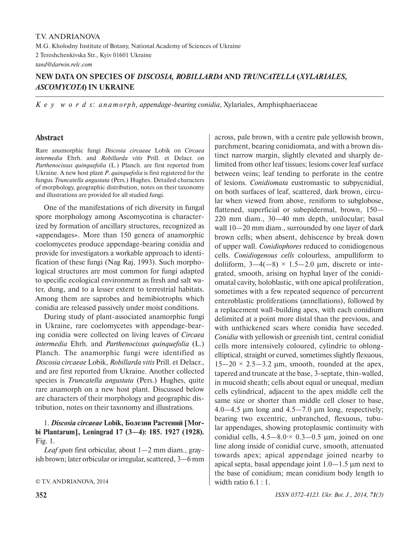# **NEW DATA ON SPECIES OF** *DISCOSIA, ROBILLARDA* **AND** *TRUNCATELLA* **(***XYLARIALES, ASCOMYCOTA***) IN UKRAINE**

*K e y w o r d s*: *a n a m o r p h, appendage-bearing conidia*, Xylariales, Amphisphaeriaceae

## **Abstract**

Rare anamorphic fungi *Discosia circaeae* Lobik on *Circaea intermedia* Ehrh. and *Robillarda vitis* Prill. et Delacr. on *Parthenocissus quinquefolia* (L.) Planch. are first reported from Ukraine. A new host plant *P*. *quinquefolia* is first registered for the fungus *Truncatella angustata* (Pers.) Hughes. Detailed characters of morphology, geographic distribution, notes on their taxonomy and illustrations are provided for all studied fungi.

One of the manifestations of rich diversity in fungal spore morphology among Ascomycotina is characterized by formation of ancillary structures, recognized as «appendages». More than 150 genera of anamorphic coelomycetes produce appendage-bearing conidia and provide for investigators a workable approach to identification of these fungi (Nag Raj, 1993). Such morphological structures are most common for fungi adapted to specific ecological environment as fresh and salt water, dung, and to a lesser extent to terrestrial habitats. Among them are saprobes and hemibiotrophs which conidia are released passively under moist conditions.

During study of plant-associated anamorphic fungi in Ukraine, rare coelomycetes with appendage-bearing conidia were collected on living leaves of *Circaea intermedia* Ehrh. and *Parthenocissus quinquefolia* (L.) Planch. The anamorphic fungi were identified as *Discosia circaeae* Lobik, *Robillarda vitis* Prill. et Delacr., and are first reported from Ukraine. Another collected species is *Truncatella angustata* (Pers.) Hughes, quite rare anamorph on a new host plant. Discussed below are characters of their morphology and geographic distribution, notes on their taxonomy and illustrations.

# 1. *Discosia circaeae* **Lobik, Болезни Растений [Morbi Plantarum], Leningrad 17 (3—4): 185. 1927 (1928).**  Fig. 1.

*Leaf spots* first orbicular, about 1—2 mm diam., grayish brown; later orbicular or irregular, scattered, 3—6 mm

© T.V. ANDRIANOVA, 2014

tinct narrow margin, slightly elevated and sharply delimited from other leaf tissues; lesions cover leaf surface between veins; leaf tending to perforate in the centre of lesions. *Conidiomata* eustromastic to subpycnidial, on both surfaces of leaf, scattered, dark brown, circular when viewed from above, reniform to subglobose, flattened, superficial or subepidermal, brown, 150— 220 mm diam., 30—40 mm depth, unilocular; basal wall 10—20 mm diam., surrounded by one layer of dark brown cells; when absent, dehiscence by break down of upper wall. *Conidiophores* reduced to conidiogenous cells. *Conidiogenous cells* colourless, ampulliform to doliiform,  $3-4(-8) \times 1.5-2.0$  µm, discrete or integrated, smooth, arising on hyphal layer of the conidiomatal cavity, holoblastic, with one apical proliferation, sometimes with a few repeated sequence of percurrent enteroblastic proliferations (annellations), followed by a replacement wall-building apex, with each conidium delimited at a point more distal than the previous, and with unthickened scars where conidia have seceded. *Conidia* with yellowish or greenish tint, central conidial cells more intensively coloured, cylindric to oblongelliptical, straight or curved, sometimes slightly flexuous,  $15-20 \times 2.5-3.2$  μm, smooth, rounded at the apex, tapered and truncate at the base, 3-septate, thin-walled, in mucoid sheath; cells about equal or unequal, median cells cylindrical, adjacent to the apex middle cell the same size or shorter than middle cell closer to base,  $4.0-4.5$  μm long and  $4.5-7.0$  μm long, respectively; bearing two excentric, unbranched, flexuous, tubular appendages, showing protoplasmic continuity with conidial cells,  $4.5-8.0 \times 0.3-0.5$  µm, joined on one line along inside of conidial curve, smooth, attenuated towards apex; apical appendage joined nearby to apical septa, basal appendage joint 1.0—1.5 μm next to the base of conidium; mean conidium body length to width ratio 6.1 : 1.

across, pale brown, with a centre pale yellowish brown, parchment, bearing conidiomata, and with a brown dis-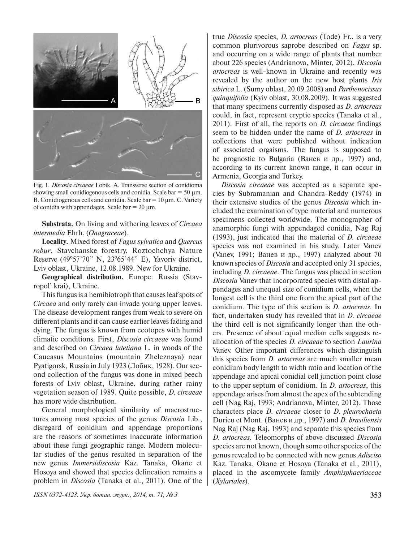

Fig. 1. *Discosia circaeae* Lobik. A. Transverse section of conidioma showing small conidiogenous cells and conidia. Scale bar  $= 50 \mu m$ . B. Conidiogenous cells and conidia. Scale bar  $= 10 \mu m$ . C. Variety of conidia with appendages. Scale bar  $= 20 \mu m$ .

**Substrata.** On living and withering leaves of *Circaea intermedia* Ehrh. (*Onagraceae*).

**Locality.** Mixed forest of *Fagus sylvatica* and *Quercus robur*, Stavchanske forestry, Roztochchya Nature Reserve (49º57'70" N, 23º65'44" E), Yavoriv district, Lviv oblast, Ukraine, 12.08.1989. New for Ukraine.

**Geographical distribution.** Europe: Russia (Stavropol' krai), Ukraine.

This fungus is a hemibiotroph that causes leaf spots of *Circaea* and only rarely can invade young upper leaves. The disease development ranges from weak to severe on different plants and it can cause earlier leaves fading and dying. The fungus is known from ecotopes with humid climatic conditions. First, *Discosia circaeae* was found and described on *Circaea lutetiana* L. in woods of the Caucasus Mountains (mountain Zheleznaya) near Pyatigorsk, Russia in July 1923 (Лобик, 1928). Our second collection of the fungus was done in mixed beech forests of Lviv oblast, Ukraine, during rather rainy vegetation season of 1989. Quite possible, *D. circaeae* has more wide distribution.

General morphological similarity of macrostructures among most species of the genus *Discosia* Lib., disregard of conidium and appendage proportions are the reasons of sometimes inaccurate information about these fungi geographic range. Modern molecular studies of the genus resulted in separation of the new genus *Immersidiscosia* Kaz. Tanaka, Okane et Hosoya and showed that species delineation remains a problem in *Discosia* (Tanaka et al., 2011). One of the

*ISSN 0372-4123. Укр. ботан. журн., 2014, т. 71, № 3* **353**

true *Discosia* species, *D. artocreas* (Tode) Fr., is a very common plurivorous saprobe described on *Fagus* sp. and occurring on a wide range of plants that number about 226 species (Andrianova, Minter, 2012). *Discosia artocreas* is well-known in Ukraine and recently was revealed by the author on the new host plants *Iris sibirica* L. (Sumy oblast, 20.09.2008) and *Parthenocissus quinquifolia* (Kyiv oblast, 30.08.2009). It was suggested that many specimens currently disposed as *D. artocreas* could, in fact, represent cryptic species (Tanaka et al., 2011). First of all, the reports on *D. circaeae* findings seem to be hidden under the name of *D. artocreas* in collections that were published without indication of associated orgaisms. The fungus is supposed to be prognostic to Bulgaria (Ванев и др., 1997) and, according to its current known range, it can occur in Armenia, Georgia and Turkey.

*Discosia circaeae* was accepted as a separate species by Subramanian and Chandra-Reddy **(**1974) in their extensive studies of the genus *Discosia* which included the examination of type material and numerous specimens collected worldwide. The monographer of anamorphic fungi with appendaged conidia, Nag Raj (1993), just indicated that the material of *D. circaeae* species was not examined in his study. Later Vanev (Vanev, 1991; Ванев и др., 1997) analyzed about 70 known species of *Discosia* and accepted only 31 species, including *D. circaeae*. The fungus was placed in section *Discosia* Vanev that incorporated species with distal appendages and unequal size of conidium cells, when the longest cell is the third one from the apical part of the conidium. The type of this section is *D. artocreas.* In fact, undertaken study has revealed that in *D. circaeae* the third cell is not significantly longer than the others. Presence of about equal median cells suggests reallocation of the species *D. circaeae* to section *Laurina* Vanev. Other important differences which distinguish this species from *D. artocreas* are much smaller mean conidium body length to width ratio and location of the appendage and apical conidial cell junction point close to the upper septum of conidium. In *D. artocreas*, this appendage arises from almost the apex of the subtending cell (Nag Raj, 1993; Andrianova, Minter, 2012). Those characters place *D. circaeae* closer to *D. pleurochaeta*  Durieu et Mont. (Ванев и др., 1997) and *D. brasiliensis*  Nag Raj (Nag Raj, 1993) and separate this species from *D. artocreas*. Teleomorphs of above discussed *Discosia*  species are not known, though some other species of the genus revealed to be connected with new genus *Adisciso* Kaz. Tanaka, Okane et Hosoya (Tanaka et al., 2011), placed in the ascomycete family *Amphisphaeriaceae* (*Xylariales*).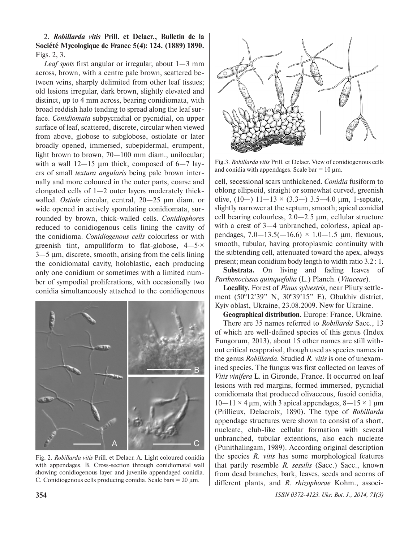2. *Robillarda vitis* **Prill. et Delacr., Bulletin de la Société Mycologique de France 5(4): 124. (1889) 1890.** Figs. 2, 3.

*Leaf spots* first angular or irregular, about 1—3 mm across, brown, with a centre pale brown, scattered between veins, sharply delimited from other leaf tissues; old lesions irregular, dark brown, slightly elevated and distinct, up to 4 mm across, bearing conidiomata, with broad reddish halo tending to spread along the leaf surface. *Conidiomata* subpycnidial or pycnidial, on upper surface of leaf, scattered, discrete, circular when viewed from above, globose to subglobose, ostiolate or later broadly opened, immersed, subepidermal, erumpent, light brown to brown, 70—100 mm diam., unilocular; with a wall  $12-15$  µm thick, composed of  $6-7$  layers of small *textura angularis* being pale brown internally and more coloured in the outer parts, coarse and elongated cells of 1—2 outer layers moderately thickwalled. *Ostiole* circular, central, 20—25 µm diam. or wide opened in actively sporulating conidiomata, surrounded by brown, thick-walled cells. *Conidiophores*  reduced to conidiogenous cells lining the cavity of the conidioma. *Conidiogenous cells* colourless or with greenish tint, ampulliform to flat-globose,  $4-5\times$ 3—5 μm, discrete, smooth, arising from the cells lining the conidiomatal cavity, holoblastic, each producing only one conidium or sometimes with a limited number of sympodial proliferations, with occasionally two conidia simultaneously attached to the conidiogenous



Fig. 2. *Robillarda vitis* Prill. et Delacr. A. Light coloured conidia with appendages. B. Cross-section through conidiomatal wall showing conidiogenous layer and juvenile appendaged conidia. C. Conidiogenous cells producing conidia. Scale bars  $= 20 \mu m$ .



Fig.3. *Robillarda vitis* Prill. et Delacr. View of conidiogenous cells and conidia with appendages. Scale bar  $= 10 \mu m$ .

cell, secessional scars unthickened. *Conidia* fusiform to oblong ellipsoid, straight or somewhat curved, greenish olive,  $(10-) 11-13 \times (3.3-) 3.5-4.0 \mu m$ , 1-septate, slightly narrower at the septum, smooth; apical conidial cell bearing colourless, 2.0—2.5 μm, cellular structure with a crest of 3—4 unbranched, colorless, apical appendages,  $7.0 - 13.5(-16.6) \times 1.0 - 1.5$  µm, flexuous, smooth, tubular, having protoplasmic continuity with the subtending cell, attenuated toward the apex, always present; mean conidium body length to width ratio 3.2 : 1.

**Substrata.** On living and fading leaves of *Parthenocissus quinquefolia* (L.) Planch. (*Vitaceae*).

**Locality.** Forest of *Pinus sylvestris*, near Pliuty settlement (50º12'39" N, 30º39'15" E), Obukhiv district, Kyiv oblast, Ukraine, 23.08.2009. New for Ukraine.

**Geographical distribution.** Europe: France, Ukraine.

There are 35 names referred to *Robillarda* Sacc., 13 of which are well-defined species of this genus (Index Fungorum, 2013), about 15 other names are still without critical reappraisal, though used as species names in the genus *Robillarda.* Studied *R. vitis* is one of unexamined species. The fungus was first collected on leaves of *Vitis vinifera* L. in Gironde, France. It occurred on leaf lesions with red margins, formed immersed, pycnidial conidiomata that produced olivaceous, fusoid conidia,  $10-11 \times 4$  µm, with 3 apical appendages,  $8-15 \times 1$  µm (Prillieux, Delacroix, 1890). The type of *Robillarda* appendage structures were shown to consist of a short, nucleate, club-like cellular formation with several unbranched, tubular extentions, also each nucleate (Punithalingam, 1989). According original description the species *R. vitis* has some morphological features that partly resemble *R. sessilis* (Sacc.) Sacc., known from dead branches, bark, leaves, seeds and acorns of different plants, and *R. rhizophorae* Kohm., associ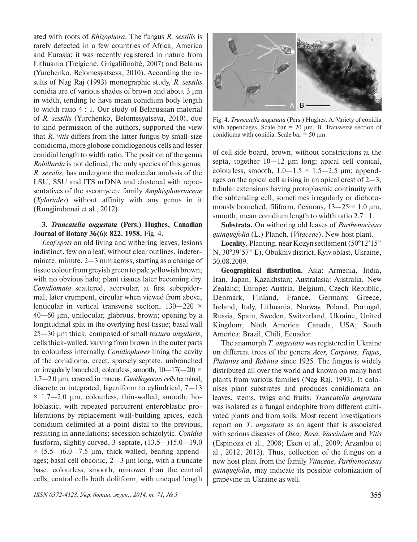ated with roots of *Rhizophora*. The fungus *R. sessilis* is rarely detected in a few countries of Africa, America and Eurasia; it was recently registered in nature from Lithuania (Treigiené, Grigaliūnaité, 2007) and Belarus (Yurchenko, Belomesyatseva, 2010). According the results of Nag Raj (1993) monographic study, *R. sessilis*  conidia are of various shades of brown and about 3 µm in width, tending to have mean conidium body length to width ratio 4 : 1. Our study of Belarussian material of *R. sessilis* (Yurchenko, Belomesyatseva, 2010), due to kind permission of the authors, supported the view that *R. vitis* differs from the latter fungus by small-size conidioma, more globose conidiogenous cells and lesser conidial length to width ratio. The position of the genus *Robillarda* is not defined, the only species of this genus*, R. sessilis,* has undergone the molecular analysis of the LSU, SSU and ITS nrDNA and clustered with representatives of the ascomycete family *Amphisphaeriaceae*  (*Xylariales*) without affinity with any genus in it (Rungjindamai et al., 2012).

### **3.** *Truncatella angustata* **(Pers.) Hughes, Canadian Journal of Botany 36(6): 822. 1958.** Fig. 4.

*Leaf spots* on old living and withering leaves, lesions indistinct, few on a leaf, without clear outlines, indeterminate, minute, 2—3 mm across, starting as a change of tissue colour from greyish green to pale yellowish brown; with no obvious halo; plant tissues later becoming dry. *Conidiomata* scattered, acervular, at first subepidermal, later erumpent, circular when viewed from above, lenticular in vertical transverse section,  $130-220 \times$ 40—60 µm, unilocular, glabrous, brown; opening by a longitudinal split in the overlying host tissue; basal wall 25—30 µm thick, composed of small *textura angularis*, cells thick-walled, varying from brown in the outer parts to colourless internally. *Conidiophores* lining the cavity of the conidioma, erect, sparsely septate, unbranched or irregularly branched, colourless, smooth,  $10-17(-20)$  × 1.7—2.0 μm, covered in mucus. *Conidiogenous cells* terminal, discrete or integrated, lageniform to cylindrical, 7—13  $\times$  1.7–2.0 µm, colourless, thin-walled, smooth; holoblastic, with repeated percurrent enteroblastic proliferations by replacement wall-building apices, each conidium delimited at a point distal to the previous, resulting in annellations; secession schizolytic. *Conidia* fusiform, slightly curved, 3-septate, (13.5—)15.0—19.0  $\times$  (5.5—)6.0—7.5 µm, thick-walled, bearing appendages; basal cell obconic, 2—3 µm long, with a truncate base, colourless, smooth, narrower than the central cells; central cells both doliiform, with unequal length



Fig. 4. *Truncatella angustata* (Pers.) Hughes. A. Variety of conidia with appendages. Scale bar  $= 20 \mu m$ . B. Transverse section of conidioma with conidia. Scale bar  $= 50 \mu m$ .

of cell side board, brown, without constrictions at the septa, together 10—12 µm long; apical cell conical, colourless, smooth,  $1.0-1.5 \times 1.5-2.5$  µm; appendages on the apical cell arising in an apical crest of 2—3, tubular extensions having protoplasmic continuity with the subtending cell, sometimes irregularly or dichotomously branched, filiform, flexuous,  $13-25 \times 1.0 \text{ }\mu\text{m}$ , smooth; mean conidium length to width ratio 2.7 : 1.

**Substrata.** On withering old leaves of *Parthenocissus quinquefolia* (L.) Planch. (*Vitaceae*). New host plant.

Locality. Planting, near Kozyn settlement (50<sup>°</sup>12<sup>'</sup>15" N, 30º39'57" E), Obukhiv district, Kyiv oblast, Ukraine, 30.08.2009.

**Geographical distribution.** Asia: Armenia, India, Iran, Japan, Kazakhstan; Australasia: Australia, New Zealand; Europe: Austria, Belgium, Czech Republic, Denmark, Finland, France, Germany, Greece, Ireland, Italy, Lithuania, Norway, Poland, Portugal, Russia, Spain, Sweden, Switzerland, Ukraine, United Kingdom; Noth America: Canada, USA; South America: Brazil, Chili, Ecuador.

The anamorph *T. angustata* was registered in Ukraine on different trees of the genera *Acer, Carpinus, Fagus, Platanus* and *Robinia* since 1925. The fungus is widely distributed all over the world and known on many host plants from various families (Nag Raj, 1993). It colonises plant substrates and produces conidiomata on leaves, stems, twigs and fruits. *Truncatella angustata* was isolated as a fungal endophite from different cultivated plants and from soils. Most recent investigations report on *T. angustata* as an agent that is associated with serious diseases of *Olea, Rosa, Vaccinium* and *Vitis* (Espinoza et al., 2008; Eken et al., 2009; Arzanlou et al., 2012, 2013). Thus, collection of the fungus on a new host plant from the family *Vitaceae*, *Parthenocissus quinquefolia*, may indicate its possible colonization of grapevine in Ukraine as well.